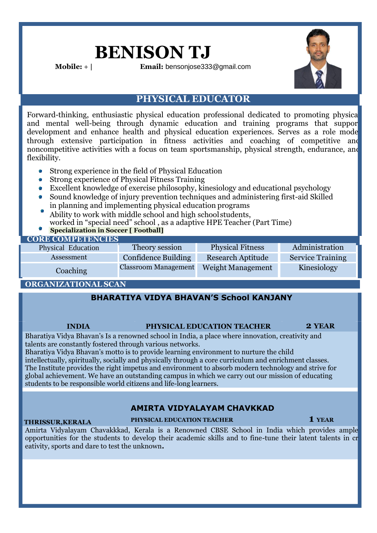# **BENISON TJ**

**Mobile:** + **| Email:** [bensonjose333@gmail.com](mailto:bensonjose333@gmail.com)



### **PHYSICAL EDUCATOR**

Forward-thinking, enthusiastic physical education professional dedicated to promoting physical and mental well-being through dynamic education and training programs that suppor development and enhance health and physical education experiences. Serves as a role mode through extensive participation in fitness activities and coaching of competitive and noncompetitive activities with a focus on team sportsmanship, physical strength, endurance, and flexibility.

- Strong experience in the field of Physical Education **B**
- a. Strong experience of Physical Fitness Training
- Excellent knowledge of exercise philosophy, kinesiology and educational psychology
- Sound knowledge of injury prevention techniques and administering first-aid Skilled in planning and implementing physical education programs
- Ability to work with middle school and high school students, worked in "special need" school , as a adaptive HPE Teacher (Part Time)
- **Specialization in Soccer [ Football]**

#### **CORE COMPETENCIES** Physical Education Theory session Physical Fitness Administration Assessment Confidence Building Research Aptitude Service Training Coaching Classroom Management Weight Management Kinesiology

## **ORGANIZATIONAL SCAN**

### **BHARATIYA VIDYA BHAVAN'S School KANJANY**

#### **INDIA PHYSICAL EDUCATION TEACHER 2 YEAR**

Bharatiya Vidya Bhavan's Is a renowned school in India, a place where innovation, creativity and talents are constantly fostered through various networks.

Bharatiya Vidya Bhavan's motto is to provide learning environment to nurture the child intellectually, spiritually, socially and physically through a core curriculum and enrichment classes. The Institute provides the right impetus and environment to absorb modern technology and strive for global achievement. We have an outstanding campus in which we carry out our mission of educating students to be responsible world citizens and life-long learners.

### **AMIRTA VIDYALAYAM CHAVKKAD**

#### **THRISSUR,KERALA**

**PHYSICAL EDUCATION TEACHER 1 YEAR**

Amirta Vidyalayam Chavakkkad, Kerala is a Renowned CBSE School in India which provides ample opportunities for the students to develop their academic skills and to fine-tune their latent talents in cr eativity, sports and dare to test the unknown**.**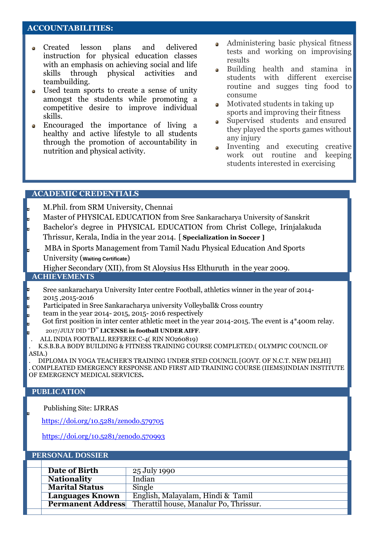#### **ACCOUNTABILITIES: ACCOUNTABILITIES:**

- Created lesson plans and delivered ۵ instruction for physical education classes with an emphasis on achieving social and life skills through physical activities and teambuilding.
- Used team sports to create a sense of unity  $\alpha$ amongst the students while promoting a competitive desire to improve individual skills.
- Encouraged the importance of living a ò, healthy and active lifestyle to all students through the promotion of accountability in nutrition and physical activity.
- Administering basic physical fitness tests and working on improvising results
- Building health and stamina in students with different exercise routine and sugges ting food to consume
- Motivated students in taking up sports and improving their fitness
- Supervised students and ensured  $\bullet$ they played the sports games without any injury
- Inventing and executing creative work out routine and keeping students interested in exercising

#### **ACADEMIC CREDENTIALS**

M.Phil. from SRM University, Chennai

- Master of PHYSICAL EDUCATION from Sree Sankaracharya University of Sanskrit
- Bachelor's degree in PHYSICAL EDUCATION from Christ College, Irinjalakuda Thrissur, Kerala, India in the year 2014. [ **Specialization in Soccer ]**
- MBA in Sports Management from Tamil Nadu Physical Education And Sports University (**Waiting Certificate**)

Higher Secondary (XII), from St Aloysius Hss Elthuruth in the year 2009.

#### **ACHIEVEMENTS**

- Sree sankaracharya University Inter centre Football, athletics winner in the year of 2014- 2015 ,2015-2016
- Participated in Sree Sankaracharya university Volleyball& Cross country
- team in the year 2014- 2015, 2015- 2016 respectively
- Got first position in inter center athletic meet in the year 2014-2015. The event is 4\*400m relay. 2017/JULY DID ''D'' **LICENSE in football UNDER AIFF**.
- . ALL INDIA FOOTBALL REFEREE C-4( RIN NO260819)

. K.S.B.B.A BODY BUILDING & FITNESS TRAINING COURSE COMPLETED.( OLYMPIC COUNCIL OF ASIA.)

. DIPLOMA IN YOGA TEACHER'S TRAINING UNDER STED COUNCIL [GOVT. OF N.C.T. NEW DELHI] . COMPLEATED EMERGENCY RESPONSE AND FIRST AID TRAINING COURSE (IIEMS)INDIAN INSTITUTE OF EMERGENCY MEDICAL SERVICES**.**

#### **PUBLICATION**

Publishing Site: IJRRAS

<https://doi.org/10.5281/zenodo.579705>

<https://doi.org/10.5281/zenodo.570993>

#### **PERSONAL DOSSIER**

| Date of Birth            | 25 July 1990                           |
|--------------------------|----------------------------------------|
| <b>Nationality</b>       | Indian                                 |
| <b>Marital Status</b>    | Single                                 |
| <b>Languages Known</b>   | English, Malayalam, Hindi & Tamil      |
| <b>Permanent Address</b> | Therattil house, Manalur Po, Thrissur. |
|                          |                                        |